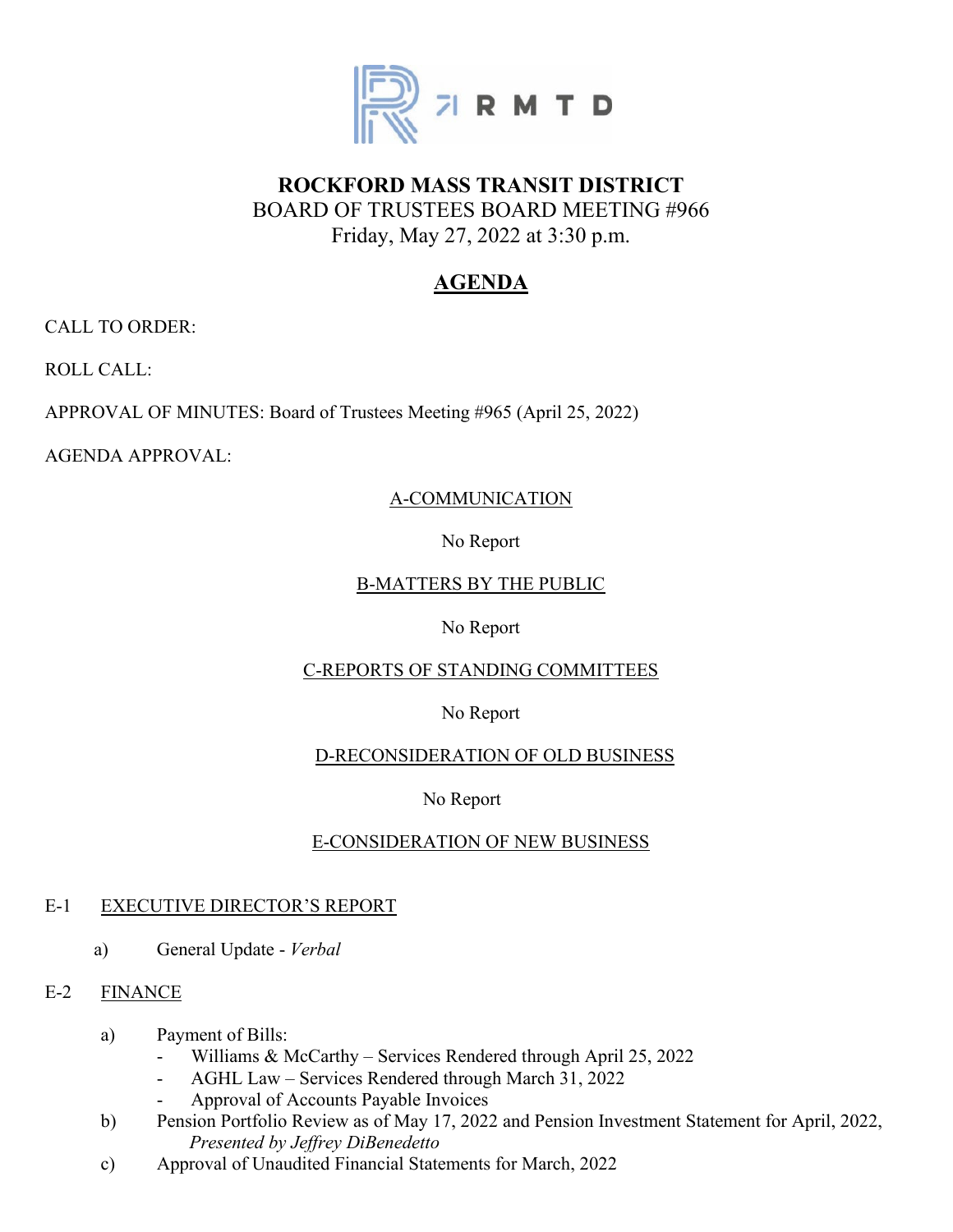

# **ROCKFORD MASS TRANSIT DISTRICT** BOARD OF TRUSTEES BOARD MEETING #966 Friday, May 27, 2022 at 3:30 p.m.

# **AGENDA**

CALL TO ORDER:

ROLL CALL:

APPROVAL OF MINUTES: Board of Trustees Meeting #965 (April 25, 2022)

AGENDA APPROVAL:

## A-COMMUNICATION

No Report

## B-MATTERS BY THE PUBLIC

## No Report

## C-REPORTS OF STANDING COMMITTEES

## No Report

## D-RECONSIDERATION OF OLD BUSINESS

## No Report

# E-CONSIDERATION OF NEW BUSINESS

## E-1 EXECUTIVE DIRECTOR'S REPORT

a) General Update - *Verbal*

## E-2 FINANCE

- a) Payment of Bills:
	- Williams & McCarthy Services Rendered through April 25, 2022
	- AGHL Law Services Rendered through March 31, 2022
	- Approval of Accounts Payable Invoices
- b) Pension Portfolio Review as of May 17, 2022 and Pension Investment Statement for April, 2022,  *Presented by Jeffrey DiBenedetto*
- c) Approval of Unaudited Financial Statements for March, 2022